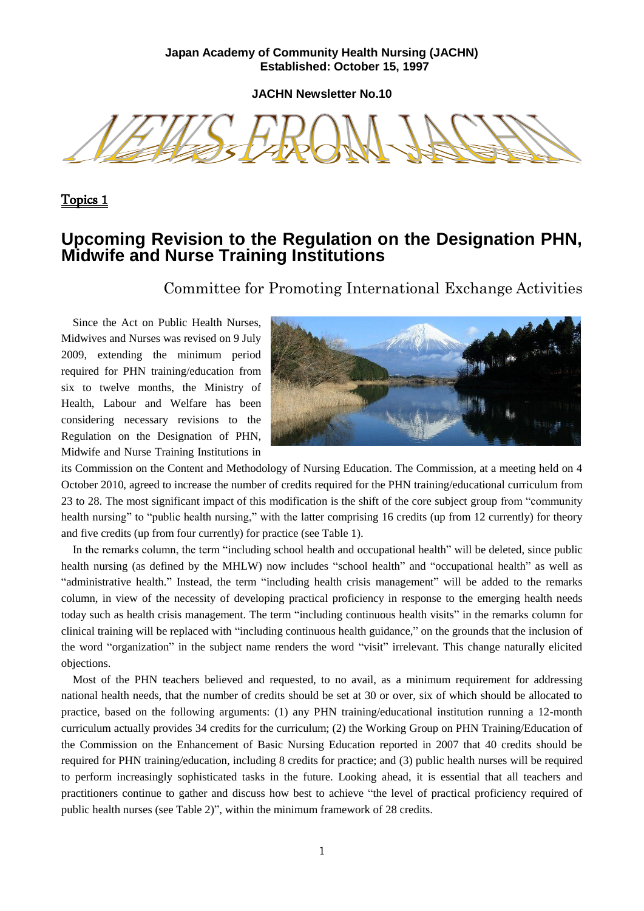### **Japan Academy of Community Health Nursing (JACHN) Established: October 15, 1997**

**JACHN Newsletter No.10**

Topics 1

### **Upcoming Revision to the Regulation on the Designation PHN, Midwife and Nurse Training Institutions**

Committee for Promoting International Exchange Activities

Since the Act on Public Health Nurses, Midwives and Nurses was revised on 9 July 2009, extending the minimum period required for PHN training/education from six to twelve months, the Ministry of Health, Labour and Welfare has been considering necessary revisions to the Regulation on the Designation of PHN, Midwife and Nurse Training Institutions in



its Commission on the Content and Methodology of Nursing Education. The Commission, at a meeting held on 4 October 2010, agreed to increase the number of credits required for the PHN training/educational curriculum from 23 to 28. The most significant impact of this modification is the shift of the core subject group from "community health nursing" to "public health nursing," with the latter comprising 16 credits (up from 12 currently) for theory and five credits (up from four currently) for practice (see Table 1).

In the remarks column, the term "including school health and occupational health" will be deleted, since public health nursing (as defined by the MHLW) now includes "school health" and "occupational health" as well as "administrative health." Instead, the term "including health crisis management" will be added to the remarks column, in view of the necessity of developing practical proficiency in response to the emerging health needs today such as health crisis management. The term "including continuous health visits" in the remarks column for clinical training will be replaced with "including continuous health guidance," on the grounds that the inclusion of the word "organization" in the subject name renders the word "visit" irrelevant. This change naturally elicited objections.

Most of the PHN teachers believed and requested, to no avail, as a minimum requirement for addressing national health needs, that the number of credits should be set at 30 or over, six of which should be allocated to practice, based on the following arguments: (1) any PHN training/educational institution running a 12-month curriculum actually provides 34 credits for the curriculum; (2) the Working Group on PHN Training/Education of the Commission on the Enhancement of Basic Nursing Education reported in 2007 that 40 credits should be required for PHN training/education, including 8 credits for practice; and (3) public health nurses will be required to perform increasingly sophisticated tasks in the future. Looking ahead, it is essential that all teachers and practitioners continue to gather and discuss how best to achieve "the level of practical proficiency required of public health nurses (see Table 2)", within the minimum framework of 28 credits.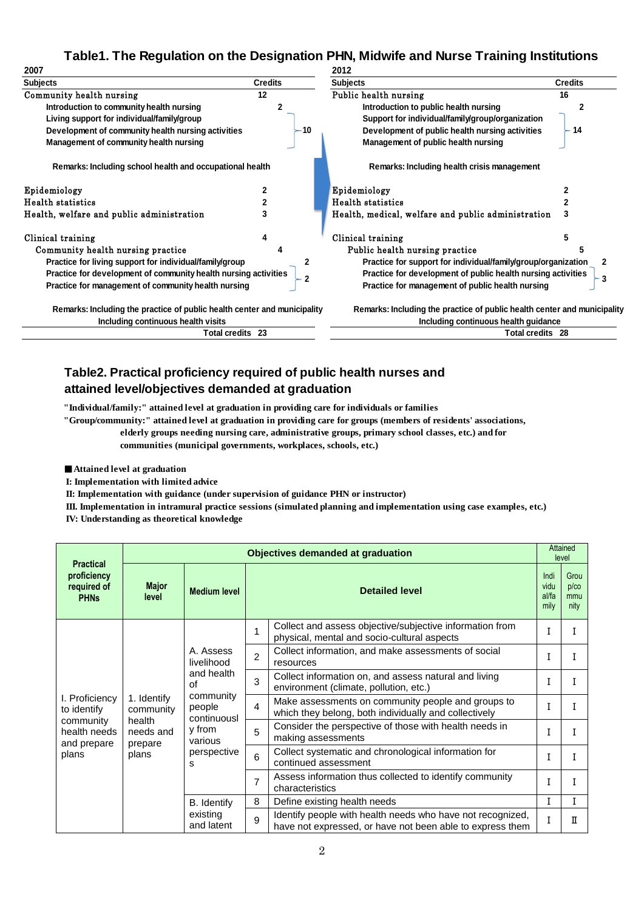### **Table1. The Regulation on the Designation PHN, Midwife and Nurse Training Institutions**

| 2007                                                                     |                | 2012                                                                     |                |  |  |
|--------------------------------------------------------------------------|----------------|--------------------------------------------------------------------------|----------------|--|--|
| <b>Subjects</b>                                                          | <b>Credits</b> | <b>Subjects</b>                                                          | <b>Credits</b> |  |  |
| Community health nursing                                                 | 12             | Public health nursing                                                    | 16             |  |  |
| Introduction to community health nursing                                 |                | Introduction to public health nursing                                    |                |  |  |
| Living support for individual/family/group                               |                | Support for individual/family/group/organization                         |                |  |  |
| Development of community health nursing activities                       | 10             | Development of public health nursing activities                          | 14             |  |  |
| Management of community health nursing                                   |                | Management of public health nursing                                      |                |  |  |
| Remarks: Including school health and occupational health                 |                | Remarks: Including health crisis management                              |                |  |  |
| Epidemiology                                                             |                | Epidemiology                                                             |                |  |  |
| <b>Health statistics</b>                                                 |                | Health statistics                                                        |                |  |  |
| Health, welfare and public administration                                |                | Health, medical, welfare and public administration                       |                |  |  |
| Clinical training                                                        |                | Clinical training                                                        | 5              |  |  |
| Community health nursing practice                                        |                | Public health nursing practice                                           |                |  |  |
| Practice for living support for individual/family/group                  |                | Practice for support for individual/family/group/organization            |                |  |  |
| Practice for development of community health nursing activities          |                | Practice for development of public health nursing activities<br>3        |                |  |  |
| Practice for management of community health nursing                      |                | Practice for management of public health nursing                         |                |  |  |
| Remarks: Including the practice of public health center and municipality |                | Remarks: Including the practice of public health center and municipality |                |  |  |
| Including continuous health visits                                       |                | Including continuous health guidance                                     |                |  |  |
| Total credits 23                                                         |                | Total credits 28                                                         |                |  |  |

### **Table2. Practical proficiency required of public health nurses and attained level/objectives demanded at graduation**

**"Individual/family:" attained level at graduation in providing care for individuals or families**

**"Group/community:" attained level at graduation in providing care for groups (members of residents' associations,** 

**elderly groups needing nursing care, administrative groups, primary school classes, etc.) and for** 

**communities (municipal governments, workplaces, schools, etc.)**

■**Attained level at graduation**

 **I: Implementation with limited advice**

 **II: Implementation with guidance (under supervision of guidance PHN or instructor)**

 **III. Implementation in intramural practice sessions (simulated planning and implementation using case examples, etc.)**

 **IV: Understanding as theoretical knowledge**

| <b>Practical</b><br>proficiency<br>required of<br><b>PHNs</b>                      | <b>Objectives demanded at graduation</b>                            |                                                                                                                            |                       |                                                                                                                         |   | Attained<br>level          |  |
|------------------------------------------------------------------------------------|---------------------------------------------------------------------|----------------------------------------------------------------------------------------------------------------------------|-----------------------|-------------------------------------------------------------------------------------------------------------------------|---|----------------------------|--|
|                                                                                    | <b>Major</b><br>level                                               | <b>Medium level</b>                                                                                                        | <b>Detailed level</b> |                                                                                                                         |   | Grou<br>p/c<br>mmu<br>nity |  |
| I. Proficiency<br>to identify<br>community<br>health needs<br>and prepare<br>plans | 1. Identify<br>community<br>health<br>needs and<br>prepare<br>plans | A. Assess<br>livelihood<br>and health<br>Ωf<br>community<br>people<br>continuousl<br>y from<br>various<br>perspective<br>s | 1                     | Collect and assess objective/subjective information from<br>physical, mental and socio-cultural aspects                 |   |                            |  |
|                                                                                    |                                                                     |                                                                                                                            | $\overline{2}$        | Collect information, and make assessments of social<br>resources                                                        |   |                            |  |
|                                                                                    |                                                                     |                                                                                                                            | 3                     | Collect information on, and assess natural and living<br>environment (climate, pollution, etc.)                         | I |                            |  |
|                                                                                    |                                                                     |                                                                                                                            | 4                     | Make assessments on community people and groups to<br>which they belong, both individually and collectively             |   |                            |  |
|                                                                                    |                                                                     |                                                                                                                            | 5                     | Consider the perspective of those with health needs in<br>making assessments                                            |   |                            |  |
|                                                                                    |                                                                     |                                                                                                                            | 6                     | Collect systematic and chronological information for<br>continued assessment                                            |   |                            |  |
|                                                                                    |                                                                     |                                                                                                                            | $\overline{7}$        | Assess information thus collected to identify community<br>characteristics                                              |   |                            |  |
|                                                                                    |                                                                     | B. Identify<br>existing<br>and latent                                                                                      | 8                     | Define existing health needs                                                                                            | I | T                          |  |
|                                                                                    |                                                                     |                                                                                                                            | 9                     | Identify people with health needs who have not recognized,<br>have not expressed, or have not been able to express them | I | п                          |  |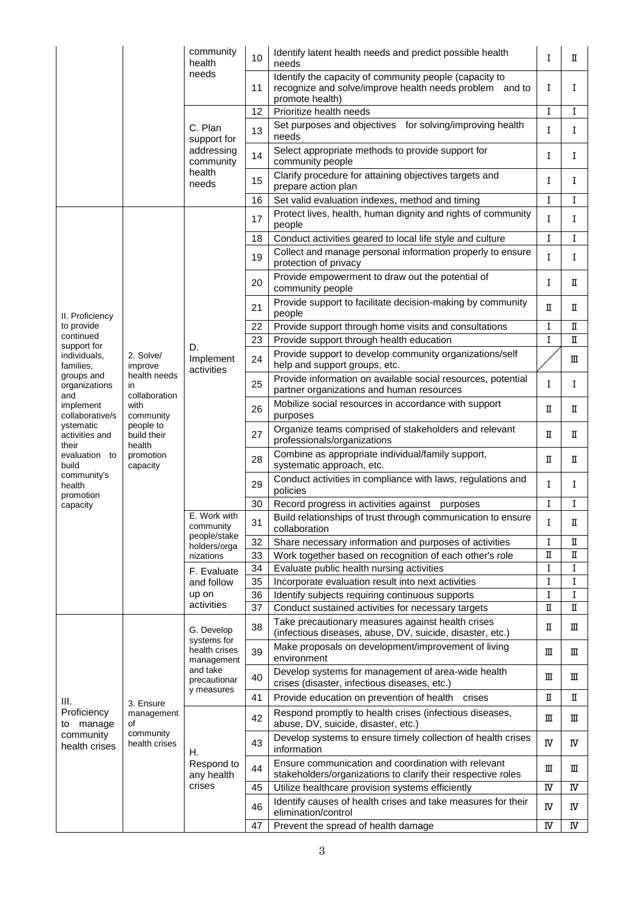|                                                                   |                                                                                                                         | community<br>health<br>needs                                                                                                                          | 10       | Identify latent health needs and predict possible health<br>needs                                                                    | I      | П      |
|-------------------------------------------------------------------|-------------------------------------------------------------------------------------------------------------------------|-------------------------------------------------------------------------------------------------------------------------------------------------------|----------|--------------------------------------------------------------------------------------------------------------------------------------|--------|--------|
|                                                                   |                                                                                                                         |                                                                                                                                                       | 11       | Identify the capacity of community people (capacity to<br>recognize and solve/improve health needs problem and to<br>promote health) | I      | I      |
|                                                                   |                                                                                                                         | C. Plan<br>support for<br>addressing<br>community<br>health<br>needs                                                                                  | 12       | Prioritize health needs                                                                                                              | I      | I      |
|                                                                   |                                                                                                                         |                                                                                                                                                       | 13       | Set purposes and objectives for solving/improving health<br>needs                                                                    | Ι      | I      |
|                                                                   |                                                                                                                         |                                                                                                                                                       | 14       | Select appropriate methods to provide support for<br>community people                                                                | I      | I      |
|                                                                   |                                                                                                                         |                                                                                                                                                       | 15       | Clarify procedure for attaining objectives targets and<br>prepare action plan                                                        | I      | I      |
|                                                                   |                                                                                                                         |                                                                                                                                                       | 16       | Set valid evaluation indexes, method and timing                                                                                      | I      | I      |
|                                                                   |                                                                                                                         |                                                                                                                                                       | 17       | Protect lives, health, human dignity and rights of community<br>people                                                               | I      | I      |
|                                                                   |                                                                                                                         |                                                                                                                                                       | 18       | Conduct activities geared to local life style and culture                                                                            | I      | I      |
|                                                                   |                                                                                                                         |                                                                                                                                                       | 19       | Collect and manage personal information properly to ensure<br>protection of privacy                                                  | I      | I      |
|                                                                   |                                                                                                                         |                                                                                                                                                       | 20       | Provide empowerment to draw out the potential of<br>community people                                                                 | I      | П      |
| II. Proficiency                                                   |                                                                                                                         |                                                                                                                                                       | 21       | Provide support to facilitate decision-making by community<br>people                                                                 | П      | п      |
| to provide                                                        |                                                                                                                         |                                                                                                                                                       | 22       | Provide support through home visits and consultations                                                                                | I      | П      |
| continued<br>support for                                          |                                                                                                                         | D.                                                                                                                                                    | 23       | Provide support through health education                                                                                             | I      | П      |
| individuals,<br>families,                                         | 2. Solve/<br>improve                                                                                                    | Implement<br>activities<br>E. Work with<br>community<br>people/stake<br>holders/orga<br>nizations<br>F. Evaluate<br>and follow<br>up on<br>activities | 24       | Provide support to develop community organizations/self<br>help and support groups, etc.                                             |        | Ш      |
| groups and<br>organizations<br>and                                | health needs<br>in<br>collaboration<br>with<br>community<br>people to<br>build their<br>health<br>promotion<br>capacity |                                                                                                                                                       | 25       | Provide information on available social resources, potential<br>partner organizations and human resources                            | I      | I      |
| implement<br>collaborative/s                                      |                                                                                                                         |                                                                                                                                                       | 26       | Mobilize social resources in accordance with support<br>purposes                                                                     | П      | П      |
| ystematic<br>activities and<br>their                              |                                                                                                                         |                                                                                                                                                       | 27       | Organize teams comprised of stakeholders and relevant<br>professionals/organizations                                                 | п      | П      |
| evaluation to<br>build                                            |                                                                                                                         |                                                                                                                                                       | 28       | Combine as appropriate individual/family support,<br>systematic approach, etc.                                                       | П      | П      |
| community's<br>health<br>promotion                                |                                                                                                                         |                                                                                                                                                       | 29       | Conduct activities in compliance with laws, regulations and<br>policies                                                              | I      | I      |
| capacity                                                          |                                                                                                                         |                                                                                                                                                       | 30       | Record progress in activities against purposes                                                                                       | I      | I      |
|                                                                   |                                                                                                                         |                                                                                                                                                       | 31       | Build relationships of trust through communication to ensure<br>collaboration                                                        | Τ      | п      |
|                                                                   |                                                                                                                         |                                                                                                                                                       | 32       | Share necessary information and purposes of activities                                                                               | I      | п      |
|                                                                   |                                                                                                                         |                                                                                                                                                       | 33       | Work together based on recognition of each other's role                                                                              | п      | п      |
|                                                                   |                                                                                                                         |                                                                                                                                                       | 34       | Evaluate public health nursing activities                                                                                            | I<br>I | I      |
|                                                                   |                                                                                                                         |                                                                                                                                                       | 35<br>36 | Incorporate evaluation result into next activities<br>Identify subjects requiring continuous supports                                | I      | I<br>I |
|                                                                   |                                                                                                                         |                                                                                                                                                       | 37       | Conduct sustained activities for necessary targets                                                                                   | П      | п      |
| III.<br>Proficiency<br>manage<br>to<br>community<br>health crises | 3. Ensure<br>management<br>οf<br>community<br>health crises                                                             | G. Develop<br>systems for<br>health crises<br>management<br>and take<br>precautionar<br>y measures                                                    | 38       | Take precautionary measures against health crises<br>(infectious diseases, abuse, DV, suicide, disaster, etc.)                       | п      | ш      |
|                                                                   |                                                                                                                         |                                                                                                                                                       | 39       | Make proposals on development/improvement of living<br>environment                                                                   | Ш      | ш      |
|                                                                   |                                                                                                                         |                                                                                                                                                       | 40       | Develop systems for management of area-wide health<br>crises (disaster, infectious diseases, etc.)                                   | ш      | Ш      |
|                                                                   |                                                                                                                         |                                                                                                                                                       | 41       | Provide education on prevention of health<br>crises                                                                                  | п      | п      |
|                                                                   |                                                                                                                         | Н.<br>Respond to<br>any health<br>crises                                                                                                              | 42       | Respond promptly to health crises (infectious diseases,<br>abuse, DV, suicide, disaster, etc.)                                       | Ш      | ш      |
|                                                                   |                                                                                                                         |                                                                                                                                                       | 43       | Develop systems to ensure timely collection of health crises<br>information                                                          | IV     | N      |
|                                                                   |                                                                                                                         |                                                                                                                                                       | 44       | Ensure communication and coordination with relevant<br>stakeholders/organizations to clarify their respective roles                  | ш      | Ⅲ      |
|                                                                   |                                                                                                                         |                                                                                                                                                       | 45       | Utilize healthcare provision systems efficiently                                                                                     | IV     | N      |
|                                                                   |                                                                                                                         |                                                                                                                                                       | 46       | Identify causes of health crises and take measures for their<br>elimination/control                                                  | IV     | N      |
|                                                                   |                                                                                                                         |                                                                                                                                                       | 47       | Prevent the spread of health damage                                                                                                  | IV     | IV     |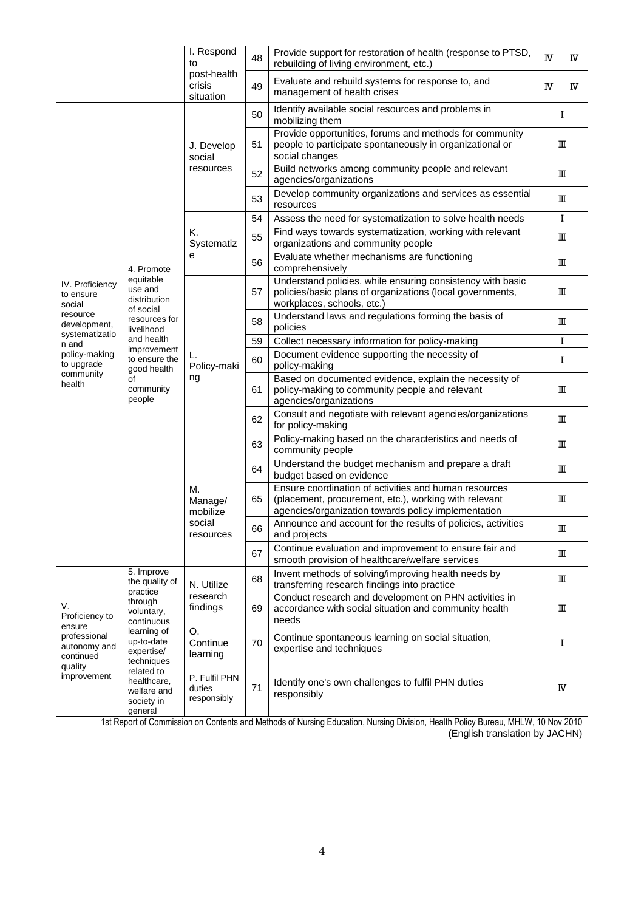|                                                                                                                                                     | I. Respond<br>to                                                                                                                                                                                              | 48                                               | Provide support for restoration of health (response to PTSD,<br>rebuilding of living environment, etc.) | $\rm I\!V$                                                                                                                                                            | IV          |    |
|-----------------------------------------------------------------------------------------------------------------------------------------------------|---------------------------------------------------------------------------------------------------------------------------------------------------------------------------------------------------------------|--------------------------------------------------|---------------------------------------------------------------------------------------------------------|-----------------------------------------------------------------------------------------------------------------------------------------------------------------------|-------------|----|
|                                                                                                                                                     |                                                                                                                                                                                                               | post-health<br>crisis<br>situation               | 49                                                                                                      | Evaluate and rebuild systems for response to, and<br>management of health crises                                                                                      | IV          | IV |
|                                                                                                                                                     |                                                                                                                                                                                                               | J. Develop<br>social<br>resources                | 50                                                                                                      | Identify available social resources and problems in<br>mobilizing them                                                                                                | I           |    |
|                                                                                                                                                     |                                                                                                                                                                                                               |                                                  | 51                                                                                                      | Provide opportunities, forums and methods for community<br>people to participate spontaneously in organizational or<br>social changes                                 | ш           |    |
|                                                                                                                                                     |                                                                                                                                                                                                               |                                                  | 52                                                                                                      | Build networks among community people and relevant<br>agencies/organizations                                                                                          |             | ш  |
|                                                                                                                                                     |                                                                                                                                                                                                               |                                                  | 53                                                                                                      | Develop community organizations and services as essential<br>resources                                                                                                | ш           |    |
|                                                                                                                                                     |                                                                                                                                                                                                               | Κ.<br>Systematiz<br>е                            | 54                                                                                                      | Assess the need for systematization to solve health needs                                                                                                             | I           |    |
|                                                                                                                                                     |                                                                                                                                                                                                               |                                                  | 55                                                                                                      | Find ways towards systematization, working with relevant<br>organizations and community people                                                                        | Ш           |    |
|                                                                                                                                                     | 4. Promote                                                                                                                                                                                                    |                                                  | 56                                                                                                      | Evaluate whether mechanisms are functioning<br>comprehensively                                                                                                        | Ш           |    |
| IV. Proficiency<br>to ensure<br>social<br>resource<br>development,<br>systematizatio<br>n and<br>policy-making<br>to upgrade<br>community<br>health | equitable<br>use and<br>distribution<br>of social<br>resources for<br>livelihood<br>and health<br>improvement<br>to ensure the<br>good health<br>of<br>community<br>people                                    | L.<br>Policy-maki<br>ng                          | 57                                                                                                      | Understand policies, while ensuring consistency with basic<br>policies/basic plans of organizations (local governments,<br>workplaces, schools, etc.)                 | Ш           |    |
|                                                                                                                                                     |                                                                                                                                                                                                               |                                                  | 58                                                                                                      | Understand laws and regulations forming the basis of<br>policies                                                                                                      | Ш           |    |
|                                                                                                                                                     |                                                                                                                                                                                                               |                                                  | 59                                                                                                      | Collect necessary information for policy-making                                                                                                                       |             | I  |
|                                                                                                                                                     |                                                                                                                                                                                                               |                                                  | 60                                                                                                      | Document evidence supporting the necessity of<br>policy-making                                                                                                        | I           |    |
|                                                                                                                                                     |                                                                                                                                                                                                               |                                                  | 61                                                                                                      | Based on documented evidence, explain the necessity of<br>policy-making to community people and relevant<br>agencies/organizations                                    |             | Ш  |
|                                                                                                                                                     |                                                                                                                                                                                                               |                                                  | 62                                                                                                      | Consult and negotiate with relevant agencies/organizations<br>for policy-making                                                                                       |             | Ш  |
|                                                                                                                                                     |                                                                                                                                                                                                               |                                                  | 63                                                                                                      | Policy-making based on the characteristics and needs of<br>community people                                                                                           |             | ш  |
|                                                                                                                                                     |                                                                                                                                                                                                               | М.<br>Manage/<br>mobilize<br>social<br>resources | 64                                                                                                      | Understand the budget mechanism and prepare a draft<br>budget based on evidence                                                                                       | ш           |    |
|                                                                                                                                                     |                                                                                                                                                                                                               |                                                  | 65                                                                                                      | Ensure coordination of activities and human resources<br>(placement, procurement, etc.), working with relevant<br>agencies/organization towards policy implementation | Ш           |    |
|                                                                                                                                                     |                                                                                                                                                                                                               |                                                  | 66                                                                                                      | Announce and account for the results of policies, activities<br>and projects                                                                                          | $\mathbb I$ |    |
|                                                                                                                                                     |                                                                                                                                                                                                               |                                                  | 67                                                                                                      | Continue evaluation and improvement to ensure fair and<br>smooth provision of healthcare/welfare services                                                             |             | Ш  |
| V.<br>Proficiency to<br>ensure<br>professional<br>autonomy and<br>continued<br>quality<br>improvement                                               | 5. Improve<br>the quality of<br>practice<br>through<br>voluntary,<br>continuous<br>learning of<br>up-to-date<br>expertise/<br>techniques<br>related to<br>healthcare,<br>welfare and<br>society in<br>general | N. Utilize<br>research<br>findings               | 68                                                                                                      | Invent methods of solving/improving health needs by<br>transferring research findings into practice                                                                   |             | Ш  |
|                                                                                                                                                     |                                                                                                                                                                                                               |                                                  | 69                                                                                                      | Conduct research and development on PHN activities in<br>accordance with social situation and community health<br>needs                                               |             | Ш  |
|                                                                                                                                                     |                                                                                                                                                                                                               | O.<br>Continue<br>learning                       | 70                                                                                                      | Continue spontaneous learning on social situation,<br>expertise and techniques                                                                                        | I           |    |
|                                                                                                                                                     |                                                                                                                                                                                                               | P. Fulfil PHN<br>duties<br>responsibly           | 71                                                                                                      | Identify one's own challenges to fulfil PHN duties<br>responsibly                                                                                                     |             | IV |

1st Report of Commission on Contents and Methods of Nursing Education, Nursing Division, Health Policy Bureau, MHLW, 10 Nov 2010 (English translation by JACHN)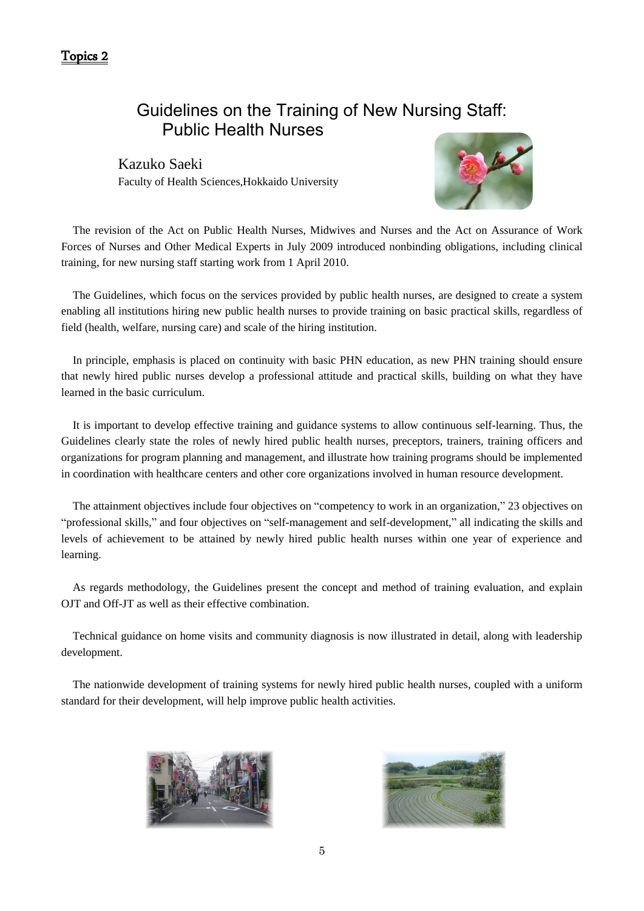## Guidelines on the Training of New Nursing Staff: Public Health Nurses

Kazuko Saeki Faculty of Health Sciences,Hokkaido University



The revision of the Act on Public Health Nurses, Midwives and Nurses and the Act on Assurance of Work Forces of Nurses and Other Medical Experts in July 2009 introduced nonbinding obligations, including clinical training, for new nursing staff starting work from 1 April 2010.

The Guidelines, which focus on the services provided by public health nurses, are designed to create a system enabling all institutions hiring new public health nurses to provide training on basic practical skills, regardless of field (health, welfare, nursing care) and scale of the hiring institution.

In principle, emphasis is placed on continuity with basic PHN education, as new PHN training should ensure that newly hired public nurses develop a professional attitude and practical skills, building on what they have learned in the basic curriculum.

It is important to develop effective training and guidance systems to allow continuous self-learning. Thus, the Guidelines clearly state the roles of newly hired public health nurses, preceptors, trainers, training officers and organizations for program planning and management, and illustrate how training programs should be implemented in coordination with healthcare centers and other core organizations involved in human resource development.

The attainment objectives include four objectives on "competency to work in an organization," 23 objectives on "professional skills," and four objectives on "self-management and self-development," all indicating the skills and levels of achievement to be attained by newly hired public health nurses within one year of experience and learning.

As regards methodology, the Guidelines present the concept and method of training evaluation, and explain OJT and Off-JT as well as their effective combination.

Technical guidance on home visits and community diagnosis is now illustrated in detail, along with leadership development.

The nationwide development of training systems for newly hired public health nurses, coupled with a uniform standard for their development, will help improve public health activities.



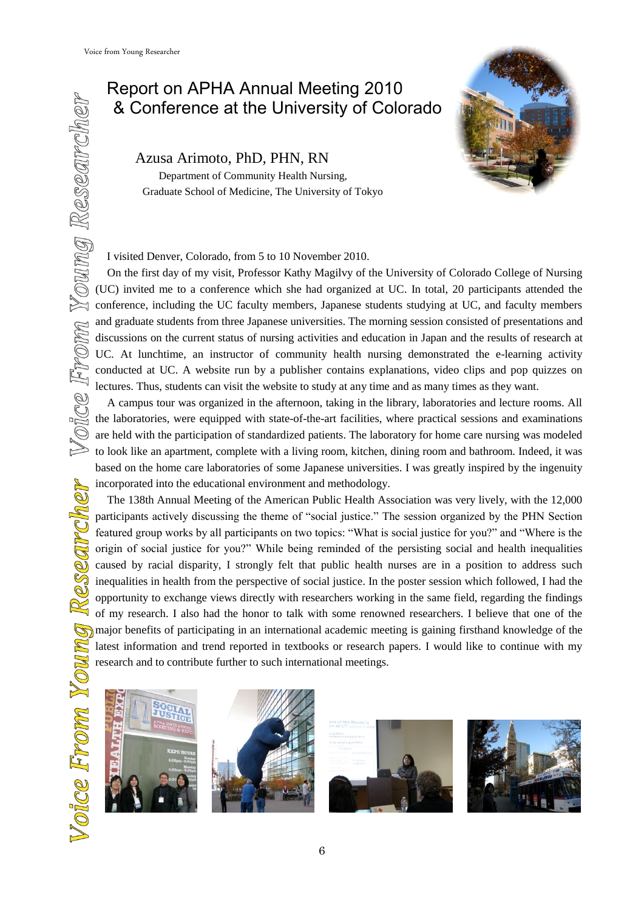# Report on APHA Annual Meeting 2010

Azusa Arimoto, PhD, PHN, RN

 Department of Community Health Nursing, Graduate School of Medicine, The University of Tokyo



I visited Denver, Colorado, from 5 to 10 November 2010.

8. Conference at the University of Colorado<br>Azusa Arimoto, PhD, PHN, RN<br>Department of Community Health Nursing,<br>Graduate School of Medicine, The University of Tokyo<br>Second<br>Example 1 visited Denver, Colorado, from 5 to 10 N On the first day of my visit, Professor Kathy Magilvy of the University of Colorado College of Nursing (UC) invited me to a conference which she had organized at UC. In total, 20 participants attended the conference, including the UC faculty members, Japanese students studying at UC, and faculty members and graduate students from three Japanese universities. The morning session consisted of presentations and discussions on the current status of nursing activities and education in Japan and the results of research at UC. At lunchtime, an instructor of community health nursing demonstrated the e-learning activity conducted at UC. A website run by a publisher contains explanations, video clips and pop quizzes on lectures. Thus, students can visit the website to study at any time and as many times as they want.

A campus tour was organized in the afternoon, taking in the library, laboratories and lecture rooms. All the laboratories, were equipped with state-of-the-art facilities, where practical sessions and examinations are held with the participation of standardized patients. The laboratory for home care nursing was modeled to look like an apartment, complete with a living room, kitchen, dining room and bathroom. Indeed, it was based on the home care laboratories of some Japanese universities. I was greatly inspired by the ingenuity incorporated into the educational environment and methodology.

The 138th Annual Meeting of the American Public Health Association was very lively, with the 12,000 participants actively discussing the theme of "social justice." The session organized by the PHN Section featured group works by all participants on two topics: "What is social justice for you?" and "Where is the origin of social justice for you?" While being reminded of the persisting social and health inequalities caused by racial disparity, I strongly felt that public health nurses are in a position to address such inequalities in health from the perspective of social justice. In the poster session which followed, I had the opportunity to exchange views directly with researchers working in the same field, regarding the findings of my research. I also had the honor to talk with some renowned researchers. I believe that one of the major benefits of participating in an international academic meeting is gaining firsthand knowledge of the latest information and trend reported in textbooks or research papers. I would like to continue with my research and to contribute further to such international meetings.







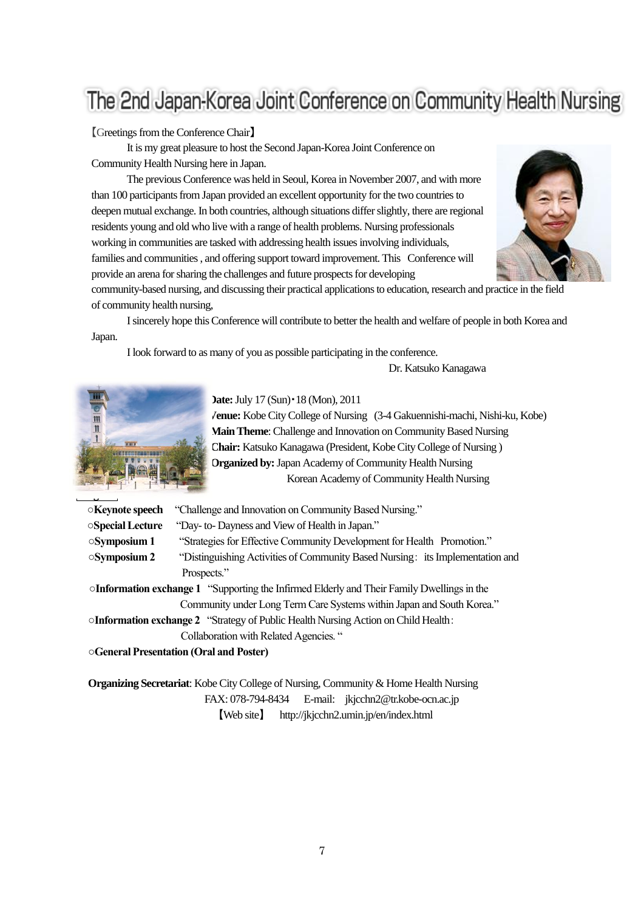# The 2nd Japan-Korea Joint Conference on Community Health Nursing

### 【Greetings from the Conference Chair】

 It is my great pleasure to host the Second Japan-Korea Joint Conference on Community Health Nursing here in Japan.

 The previous Conference was held in Seoul, Korea in November 2007, and with more than 100 participants from Japan provided an excellent opportunity for the two countries to deepen mutual exchange. In both countries, although situations differ slightly, there are regional residents young and old who live with a range of health problems. Nursing professionals working in communities are tasked with addressing health issues involving individuals, families and communities , and offering support toward improvement. This Conference will provide an arena for sharing the challenges and future prospects for developing



community-based nursing, and discussing their practical applications to education, research and practice in the field of community health nursing,

 I sincerely hope this Conference will contribute to better the health and welfare of people in both Korea and Japan.

I look forward to as many of you as possible participating in the conference.

Dr. Katsuko Kanagawa



**Date:**July 17 (Sun)・18 (Mon), 2011

**Venue:** Kobe City College of Nursing (3-4 Gakuennishi-machi, Nishi-ku, Kobe) **Main Theme**: Challenge and Innovation on Community Based Nursing **Chair:** Katsuko Kanagawa (President, Kobe City College of Nursing ) **Organized by:**Japan Academy of Community Health Nursing Korean Academy of Community Health Nursing

**○Keynote speech** "Challenge and Innovation on Community Based Nursing."

**○Special Lecture** "Day- to- Dayness and View of Health in Japan."

**○Symposium 1** "Strategies for Effective Community Development for Health Promotion."

**○Symposium 2** "Distinguishing Activities of Community Based Nursing: its Implementation and Prospects."

**○Information exchange 1** "Supporting the Infirmed Elderly and Their Family Dwellings in the Community under Long Term Care Systems within Japan and South Korea."

**○Information exchange 2** "Strategy of Public Health Nursing Action on Child Health:

Collaboration with Related Agencies. "

**○General Presentation (Oral and Poster)**

**Organizing Secretariat**: Kobe City College of Nursing, Community & Home Health Nursing FAX: 078-794-8434 E-mail: jkjcchn2@tr.kobe-ocn.ac.jp 【Web site】 http://jkjcchn2.umin.jp/en/index.html